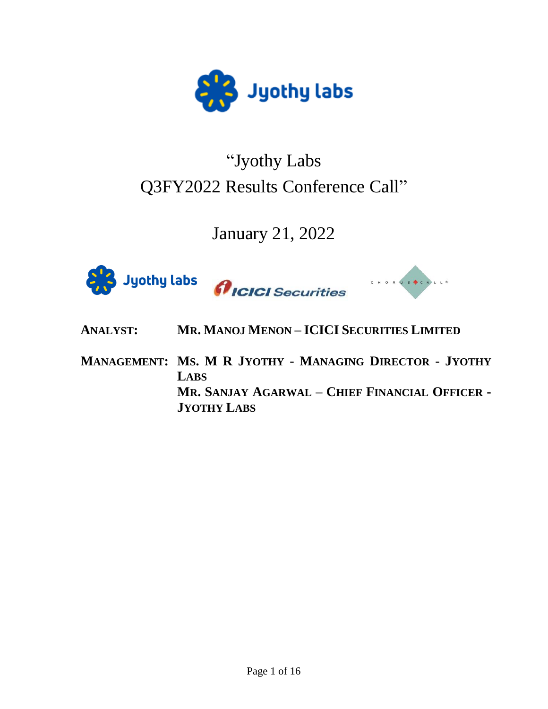

# "Jyothy Labs Q3FY2022 Results Conference Call"

# January 21, 2022







- **ANALYST: MR. MANOJ MENON – ICICI SECURITIES LIMITED**
- **MANAGEMENT: MS. M R JYOTHY - MANAGING DIRECTOR - JYOTHY LABS MR. SANJAY AGARWAL – CHIEF FINANCIAL OFFICER - JYOTHY LABS**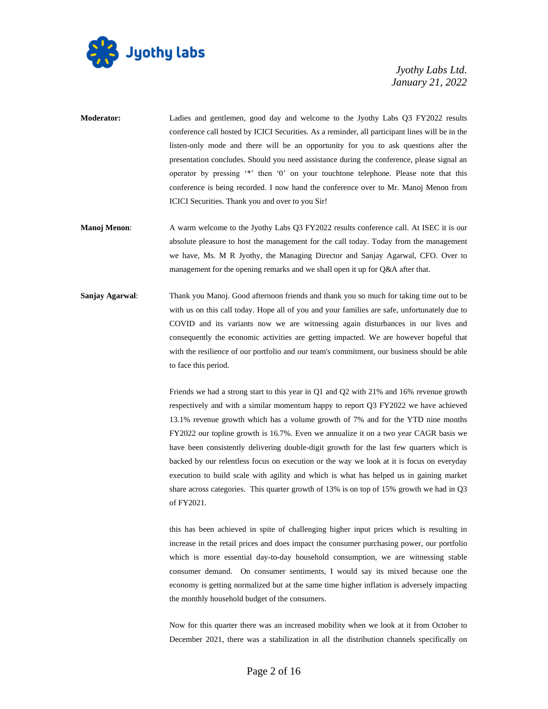

- **Moderator:** Ladies and gentlemen, good day and welcome to the Jyothy Labs Q3 FY2022 results conference call hosted by ICICI Securities. As a reminder, all participant lines will be in the listen-only mode and there will be an opportunity for you to ask questions after the presentation concludes. Should you need assistance during the conference, please signal an operator by pressing '\*' then '0' on your touchtone telephone. Please note that this conference is being recorded. I now hand the conference over to Mr. Manoj Menon from ICICI Securities. Thank you and over to you Sir!
- **Manoj Menon:** A warm welcome to the Jyothy Labs Q3 FY2022 results conference call. At ISEC it is our absolute pleasure to host the management for the call today. Today from the management we have, Ms. M R Jyothy, the Managing Director and Sanjay Agarwal, CFO. Over to management for the opening remarks and we shall open it up for Q&A after that.
- **Sanjay Agarwal**: Thank you Manoj. Good afternoon friends and thank you so much for taking time out to be with us on this call today. Hope all of you and your families are safe, unfortunately due to COVID and its variants now we are witnessing again disturbances in our lives and consequently the economic activities are getting impacted. We are however hopeful that with the resilience of our portfolio and our team's commitment, our business should be able to face this period.

Friends we had a strong start to this year in Q1 and Q2 with 21% and 16% revenue growth respectively and with a similar momentum happy to report Q3 FY2022 we have achieved 13.1% revenue growth which has a volume growth of 7% and for the YTD nine months FY2022 our topline growth is 16.7%. Even we annualize it on a two year CAGR basis we have been consistently delivering double-digit growth for the last few quarters which is backed by our relentless focus on execution or the way we look at it is focus on everyday execution to build scale with agility and which is what has helped us in gaining market share across categories. This quarter growth of 13% is on top of 15% growth we had in Q3 of FY2021.

this has been achieved in spite of challenging higher input prices which is resulting in increase in the retail prices and does impact the consumer purchasing power, our portfolio which is more essential day-to-day household consumption, we are witnessing stable consumer demand. On consumer sentiments, I would say its mixed because one the economy is getting normalized but at the same time higher inflation is adversely impacting the monthly household budget of the consumers.

Now for this quarter there was an increased mobility when we look at it from October to December 2021, there was a stabilization in all the distribution channels specifically on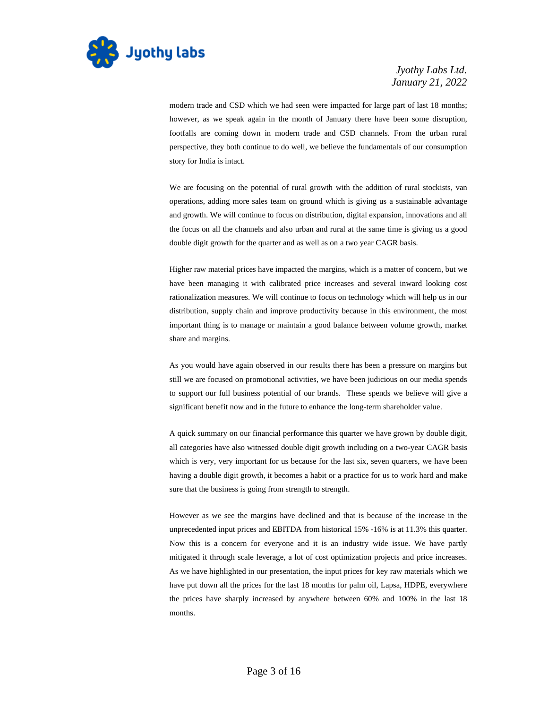

modern trade and CSD which we had seen were impacted for large part of last 18 months; however, as we speak again in the month of January there have been some disruption, footfalls are coming down in modern trade and CSD channels. From the urban rural perspective, they both continue to do well, we believe the fundamentals of our consumption story for India is intact.

We are focusing on the potential of rural growth with the addition of rural stockists, van operations, adding more sales team on ground which is giving us a sustainable advantage and growth. We will continue to focus on distribution, digital expansion, innovations and all the focus on all the channels and also urban and rural at the same time is giving us a good double digit growth for the quarter and as well as on a two year CAGR basis.

Higher raw material prices have impacted the margins, which is a matter of concern, but we have been managing it with calibrated price increases and several inward looking cost rationalization measures. We will continue to focus on technology which will help us in our distribution, supply chain and improve productivity because in this environment, the most important thing is to manage or maintain a good balance between volume growth, market share and margins.

As you would have again observed in our results there has been a pressure on margins but still we are focused on promotional activities, we have been judicious on our media spends to support our full business potential of our brands. These spends we believe will give a significant benefit now and in the future to enhance the long-term shareholder value.

A quick summary on our financial performance this quarter we have grown by double digit, all categories have also witnessed double digit growth including on a two-year CAGR basis which is very, very important for us because for the last six, seven quarters, we have been having a double digit growth, it becomes a habit or a practice for us to work hard and make sure that the business is going from strength to strength.

However as we see the margins have declined and that is because of the increase in the unprecedented input prices and EBITDA from historical 15% -16% is at 11.3% this quarter. Now this is a concern for everyone and it is an industry wide issue. We have partly mitigated it through scale leverage, a lot of cost optimization projects and price increases. As we have highlighted in our presentation, the input prices for key raw materials which we have put down all the prices for the last 18 months for palm oil, Lapsa, HDPE, everywhere the prices have sharply increased by anywhere between 60% and 100% in the last 18 months.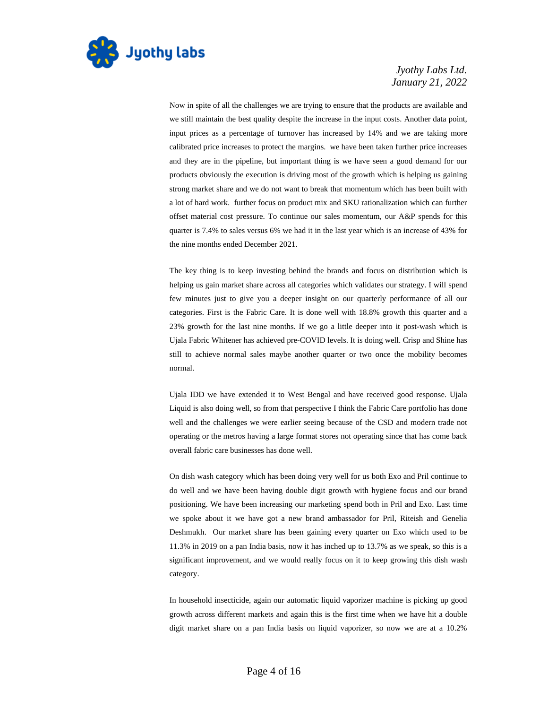

Now in spite of all the challenges we are trying to ensure that the products are available and we still maintain the best quality despite the increase in the input costs. Another data point, input prices as a percentage of turnover has increased by 14% and we are taking more calibrated price increases to protect the margins. we have been taken further price increases and they are in the pipeline, but important thing is we have seen a good demand for our products obviously the execution is driving most of the growth which is helping us gaining strong market share and we do not want to break that momentum which has been built with a lot of hard work. further focus on product mix and SKU rationalization which can further offset material cost pressure. To continue our sales momentum, our A&P spends for this quarter is 7.4% to sales versus 6% we had it in the last year which is an increase of 43% for the nine months ended December 2021.

The key thing is to keep investing behind the brands and focus on distribution which is helping us gain market share across all categories which validates our strategy. I will spend few minutes just to give you a deeper insight on our quarterly performance of all our categories. First is the Fabric Care. It is done well with 18.8% growth this quarter and a 23% growth for the last nine months. If we go a little deeper into it post-wash which is Ujala Fabric Whitener has achieved pre-COVID levels. It is doing well. Crisp and Shine has still to achieve normal sales maybe another quarter or two once the mobility becomes normal.

Ujala IDD we have extended it to West Bengal and have received good response. Ujala Liquid is also doing well, so from that perspective I think the Fabric Care portfolio has done well and the challenges we were earlier seeing because of the CSD and modern trade not operating or the metros having a large format stores not operating since that has come back overall fabric care businesses has done well.

On dish wash category which has been doing very well for us both Exo and Pril continue to do well and we have been having double digit growth with hygiene focus and our brand positioning. We have been increasing our marketing spend both in Pril and Exo. Last time we spoke about it we have got a new brand ambassador for Pril, Riteish and Genelia Deshmukh. Our market share has been gaining every quarter on Exo which used to be 11.3% in 2019 on a pan India basis, now it has inched up to 13.7% as we speak, so this is a significant improvement, and we would really focus on it to keep growing this dish wash category.

In household insecticide, again our automatic liquid vaporizer machine is picking up good growth across different markets and again this is the first time when we have hit a double digit market share on a pan India basis on liquid vaporizer, so now we are at a 10.2%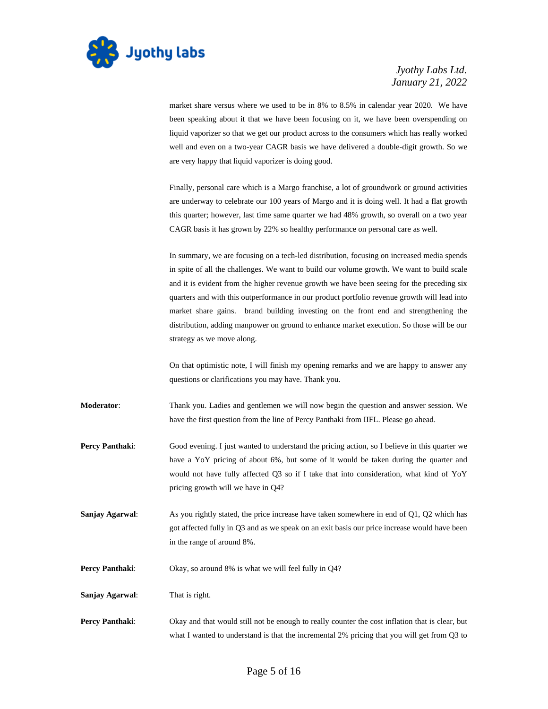

market share versus where we used to be in 8% to 8.5% in calendar year 2020. We have been speaking about it that we have been focusing on it, we have been overspending on liquid vaporizer so that we get our product across to the consumers which has really worked well and even on a two-year CAGR basis we have delivered a double-digit growth. So we are very happy that liquid vaporizer is doing good.

Finally, personal care which is a Margo franchise, a lot of groundwork or ground activities are underway to celebrate our 100 years of Margo and it is doing well. It had a flat growth this quarter; however, last time same quarter we had 48% growth, so overall on a two year CAGR basis it has grown by 22% so healthy performance on personal care as well.

In summary, we are focusing on a tech-led distribution, focusing on increased media spends in spite of all the challenges. We want to build our volume growth. We want to build scale and it is evident from the higher revenue growth we have been seeing for the preceding six quarters and with this outperformance in our product portfolio revenue growth will lead into market share gains. brand building investing on the front end and strengthening the distribution, adding manpower on ground to enhance market execution. So those will be our strategy as we move along.

On that optimistic note, I will finish my opening remarks and we are happy to answer any questions or clarifications you may have. Thank you.

**Moderator**: Thank you. Ladies and gentlemen we will now begin the question and answer session. We have the first question from the line of Percy Panthaki from IIFL. Please go ahead.

- **Percy Panthaki:** Good evening. I just wanted to understand the pricing action, so I believe in this quarter we have a YoY pricing of about 6%, but some of it would be taken during the quarter and would not have fully affected Q3 so if I take that into consideration, what kind of YoY pricing growth will we have in Q4?
- **Sanjay Agarwal:** As you rightly stated, the price increase have taken somewhere in end of Q1, Q2 which has got affected fully in Q3 and as we speak on an exit basis our price increase would have been in the range of around 8%.
- **Percy Panthaki:** Okay, so around 8% is what we will feel fully in Q4?

**Sanjay Agarwal**: That is right.

**Percy Panthaki:** Okay and that would still not be enough to really counter the cost inflation that is clear, but what I wanted to understand is that the incremental 2% pricing that you will get from Q3 to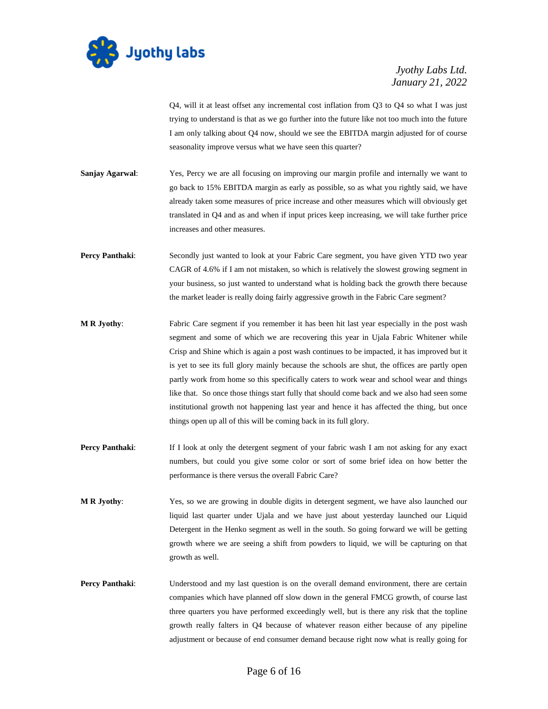

Q4, will it at least offset any incremental cost inflation from Q3 to Q4 so what I was just trying to understand is that as we go further into the future like not too much into the future I am only talking about Q4 now, should we see the EBITDA margin adjusted for of course seasonality improve versus what we have seen this quarter?

**Sanjay Agarwal:** Yes, Percy we are all focusing on improving our margin profile and internally we want to go back to 15% EBITDA margin as early as possible, so as what you rightly said, we have already taken some measures of price increase and other measures which will obviously get translated in Q4 and as and when if input prices keep increasing, we will take further price increases and other measures.

**Percy Panthaki:** Secondly just wanted to look at your Fabric Care segment, you have given YTD two year CAGR of 4.6% if I am not mistaken, so which is relatively the slowest growing segment in your business, so just wanted to understand what is holding back the growth there because the market leader is really doing fairly aggressive growth in the Fabric Care segment?

- **M R Jyothy**: Fabric Care segment if you remember it has been hit last year especially in the post wash segment and some of which we are recovering this year in Ujala Fabric Whitener while Crisp and Shine which is again a post wash continues to be impacted, it has improved but it is yet to see its full glory mainly because the schools are shut, the offices are partly open partly work from home so this specifically caters to work wear and school wear and things like that. So once those things start fully that should come back and we also had seen some institutional growth not happening last year and hence it has affected the thing, but once things open up all of this will be coming back in its full glory.
- **Percy Panthaki:** If I look at only the detergent segment of your fabric wash I am not asking for any exact numbers, but could you give some color or sort of some brief idea on how better the performance is there versus the overall Fabric Care?
- **M R Jyothy**: Yes, so we are growing in double digits in detergent segment, we have also launched our liquid last quarter under Ujala and we have just about yesterday launched our Liquid Detergent in the Henko segment as well in the south. So going forward we will be getting growth where we are seeing a shift from powders to liquid, we will be capturing on that growth as well.
- **Percy Panthaki:** Understood and my last question is on the overall demand environment, there are certain companies which have planned off slow down in the general FMCG growth, of course last three quarters you have performed exceedingly well, but is there any risk that the topline growth really falters in Q4 because of whatever reason either because of any pipeline adjustment or because of end consumer demand because right now what is really going for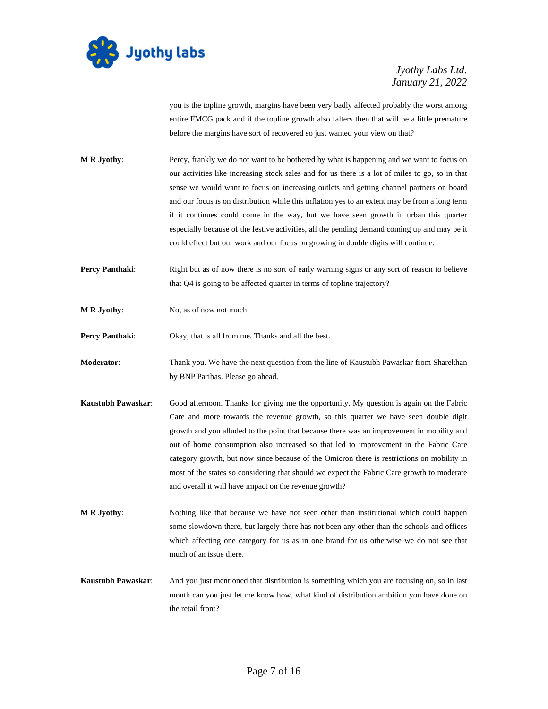

you is the topline growth, margins have been very badly affected probably the worst among entire FMCG pack and if the topline growth also falters then that will be a little premature before the margins have sort of recovered so just wanted your view on that?

- **M R Jyothy**: Percy, frankly we do not want to be bothered by what is happening and we want to focus on our activities like increasing stock sales and for us there is a lot of miles to go, so in that sense we would want to focus on increasing outlets and getting channel partners on board and our focus is on distribution while this inflation yes to an extent may be from a long term if it continues could come in the way, but we have seen growth in urban this quarter especially because of the festive activities, all the pending demand coming up and may be it could effect but our work and our focus on growing in double digits will continue.
- **Percy Panthaki:** Right but as of now there is no sort of early warning signs or any sort of reason to believe that Q4 is going to be affected quarter in terms of topline trajectory?
- **M R Jyothy:** No, as of now not much.

**Percy Panthaki:** Okay, that is all from me. Thanks and all the best.

- **Moderator**: Thank you. We have the next question from the line of Kaustubh Pawaskar from Sharekhan by BNP Paribas. Please go ahead.
- **Kaustubh Pawaskar**: Good afternoon. Thanks for giving me the opportunity. My question is again on the Fabric Care and more towards the revenue growth, so this quarter we have seen double digit growth and you alluded to the point that because there was an improvement in mobility and out of home consumption also increased so that led to improvement in the Fabric Care category growth, but now since because of the Omicron there is restrictions on mobility in most of the states so considering that should we expect the Fabric Care growth to moderate and overall it will have impact on the revenue growth?
- **M R Jyothy**: Nothing like that because we have not seen other than institutional which could happen some slowdown there, but largely there has not been any other than the schools and offices which affecting one category for us as in one brand for us otherwise we do not see that much of an issue there.
- **Kaustubh Pawaskar**: And you just mentioned that distribution is something which you are focusing on, so in last month can you just let me know how, what kind of distribution ambition you have done on the retail front?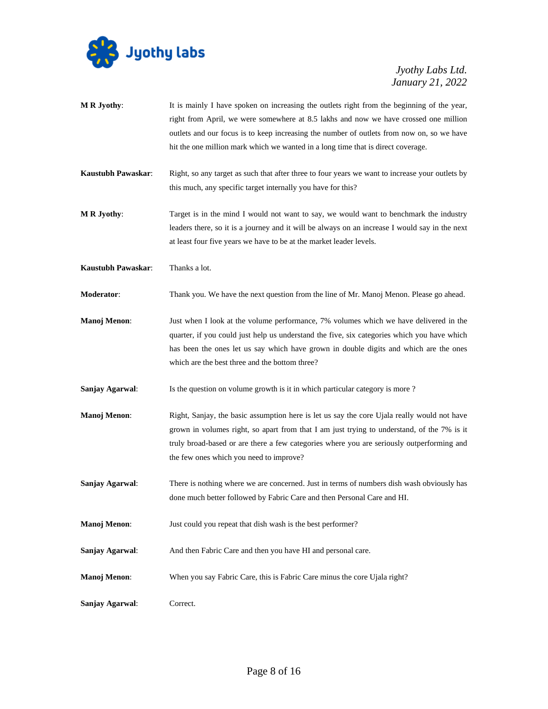

- **M R Jyothy:** It is mainly I have spoken on increasing the outlets right from the beginning of the year, right from April, we were somewhere at 8.5 lakhs and now we have crossed one million outlets and our focus is to keep increasing the number of outlets from now on, so we have hit the one million mark which we wanted in a long time that is direct coverage.
- **Kaustubh Pawaskar**: Right, so any target as such that after three to four years we want to increase your outlets by this much, any specific target internally you have for this?
- **M R Jyothy**: Target is in the mind I would not want to say, we would want to benchmark the industry leaders there, so it is a journey and it will be always on an increase I would say in the next at least four five years we have to be at the market leader levels.
- **Kaustubh Pawaskar**: Thanks a lot.
- **Moderator**: Thank you. We have the next question from the line of Mr. Manoj Menon. Please go ahead.
- **Manoj Menon**: Just when I look at the volume performance, 7% volumes which we have delivered in the quarter, if you could just help us understand the five, six categories which you have which has been the ones let us say which have grown in double digits and which are the ones which are the best three and the bottom three?
- **Sanjay Agarwal:** Is the question on volume growth is it in which particular category is more ?
- **Manoj Menon:** Right, Sanjay, the basic assumption here is let us say the core Ujala really would not have grown in volumes right, so apart from that I am just trying to understand, of the 7% is it truly broad-based or are there a few categories where you are seriously outperforming and the few ones which you need to improve?
- **Sanjay Agarwal:** There is nothing where we are concerned. Just in terms of numbers dish wash obviously has done much better followed by Fabric Care and then Personal Care and HI.
- **Manoj Menon:** Just could you repeat that dish wash is the best performer?
- **Sanjay Agarwal**: And then Fabric Care and then you have HI and personal care.
- **Manoj Menon:** When you say Fabric Care, this is Fabric Care minus the core Ujala right?
- **Sanjay Agarwal**: Correct.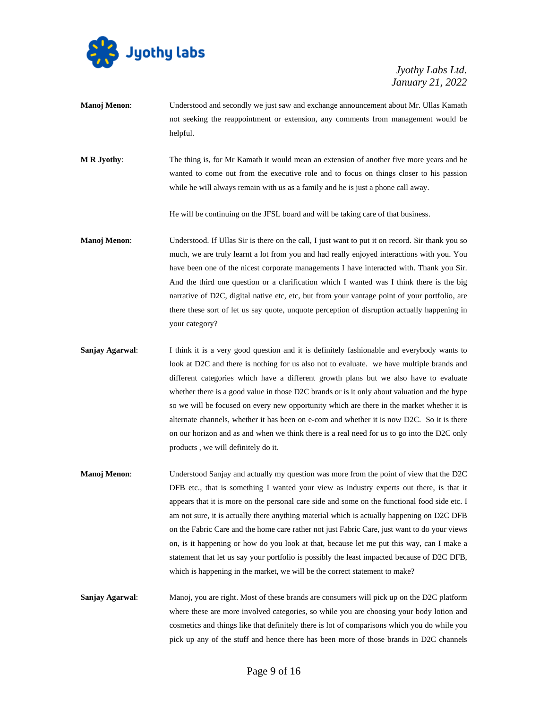

- **Manoj Menon**: Understood and secondly we just saw and exchange announcement about Mr. Ullas Kamath not seeking the reappointment or extension, any comments from management would be helpful.
- **M R Jyothy**: The thing is, for Mr Kamath it would mean an extension of another five more years and he wanted to come out from the executive role and to focus on things closer to his passion while he will always remain with us as a family and he is just a phone call away.

He will be continuing on the JFSL board and will be taking care of that business.

- **Manoj Menon**: Understood. If Ullas Sir is there on the call, I just want to put it on record. Sir thank you so much, we are truly learnt a lot from you and had really enjoyed interactions with you. You have been one of the nicest corporate managements I have interacted with. Thank you Sir. And the third one question or a clarification which I wanted was I think there is the big narrative of D2C, digital native etc, etc, but from your vantage point of your portfolio, are there these sort of let us say quote, unquote perception of disruption actually happening in your category?
- **Sanjay Agarwal:** I think it is a very good question and it is definitely fashionable and everybody wants to look at D2C and there is nothing for us also not to evaluate. we have multiple brands and different categories which have a different growth plans but we also have to evaluate whether there is a good value in those D2C brands or is it only about valuation and the hype so we will be focused on every new opportunity which are there in the market whether it is alternate channels, whether it has been on e-com and whether it is now D2C. So it is there on our horizon and as and when we think there is a real need for us to go into the D2C only products , we will definitely do it.
- **Manoj Menon:** Understood Sanjay and actually my question was more from the point of view that the D2C DFB etc., that is something I wanted your view as industry experts out there, is that it appears that it is more on the personal care side and some on the functional food side etc. I am not sure, it is actually there anything material which is actually happening on D2C DFB on the Fabric Care and the home care rather not just Fabric Care, just want to do your views on, is it happening or how do you look at that, because let me put this way, can I make a statement that let us say your portfolio is possibly the least impacted because of D2C DFB, which is happening in the market, we will be the correct statement to make?
- **Sanjay Agarwal:** Manoj, you are right. Most of these brands are consumers will pick up on the D2C platform where these are more involved categories, so while you are choosing your body lotion and cosmetics and things like that definitely there is lot of comparisons which you do while you pick up any of the stuff and hence there has been more of those brands in D2C channels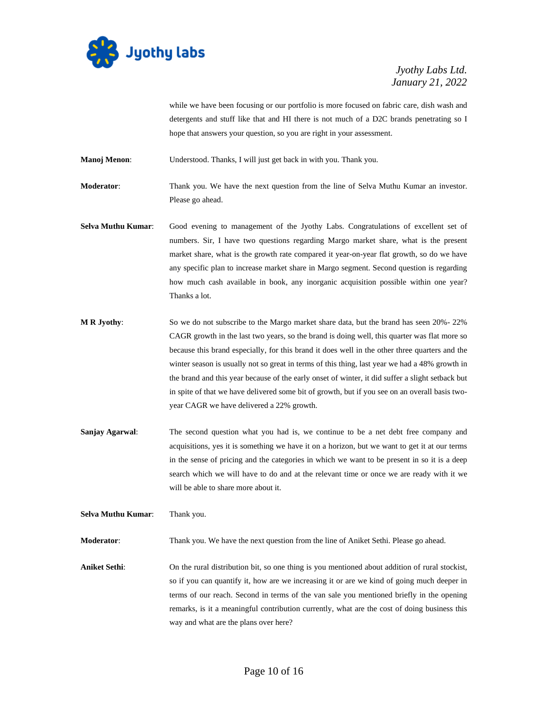

while we have been focusing or our portfolio is more focused on fabric care, dish wash and detergents and stuff like that and HI there is not much of a D2C brands penetrating so I hope that answers your question, so you are right in your assessment.

**Manoj Menon**: Understood. Thanks, I will just get back in with you. Thank you.

**Moderator**: Thank you. We have the next question from the line of Selva Muthu Kumar an investor. Please go ahead.

- **Selva Muthu Kumar**: Good evening to management of the Jyothy Labs. Congratulations of excellent set of numbers. Sir, I have two questions regarding Margo market share, what is the present market share, what is the growth rate compared it year-on-year flat growth, so do we have any specific plan to increase market share in Margo segment. Second question is regarding how much cash available in book, any inorganic acquisition possible within one year? Thanks a lot.
- **M R Jyothy**: So we do not subscribe to the Margo market share data, but the brand has seen 20%- 22% CAGR growth in the last two years, so the brand is doing well, this quarter was flat more so because this brand especially, for this brand it does well in the other three quarters and the winter season is usually not so great in terms of this thing, last year we had a 48% growth in the brand and this year because of the early onset of winter, it did suffer a slight setback but in spite of that we have delivered some bit of growth, but if you see on an overall basis twoyear CAGR we have delivered a 22% growth.
- **Sanjay Agarwal**: The second question what you had is, we continue to be a net debt free company and acquisitions, yes it is something we have it on a horizon, but we want to get it at our terms in the sense of pricing and the categories in which we want to be present in so it is a deep search which we will have to do and at the relevant time or once we are ready with it we will be able to share more about it.
- **Selva Muthu Kumar**: Thank you.

**Moderator**: Thank you. We have the next question from the line of Aniket Sethi. Please go ahead.

**Aniket Sethi**: On the rural distribution bit, so one thing is you mentioned about addition of rural stockist, so if you can quantify it, how are we increasing it or are we kind of going much deeper in terms of our reach. Second in terms of the van sale you mentioned briefly in the opening remarks, is it a meaningful contribution currently, what are the cost of doing business this way and what are the plans over here?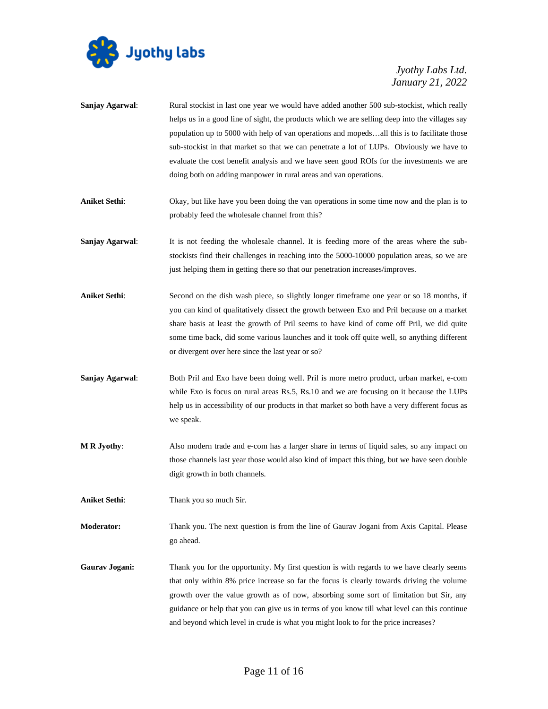

| Sanjay Agarwal:      | Rural stockist in last one year we would have added another 500 sub-stockist, which really<br>helps us in a good line of sight, the products which we are selling deep into the villages say<br>population up to 5000 with help of van operations and mopedsall this is to facilitate those<br>sub-stockist in that market so that we can penetrate a lot of LUPs. Obviously we have to<br>evaluate the cost benefit analysis and we have seen good ROIs for the investments we are<br>doing both on adding manpower in rural areas and van operations. |
|----------------------|---------------------------------------------------------------------------------------------------------------------------------------------------------------------------------------------------------------------------------------------------------------------------------------------------------------------------------------------------------------------------------------------------------------------------------------------------------------------------------------------------------------------------------------------------------|
| <b>Aniket Sethi:</b> | Okay, but like have you been doing the van operations in some time now and the plan is to<br>probably feed the wholesale channel from this?                                                                                                                                                                                                                                                                                                                                                                                                             |
| Sanjay Agarwal:      | It is not feeding the wholesale channel. It is feeding more of the areas where the sub-<br>stockists find their challenges in reaching into the 5000-10000 population areas, so we are<br>just helping them in getting there so that our penetration increases/improves.                                                                                                                                                                                                                                                                                |
| <b>Aniket Sethi:</b> | Second on the dish wash piece, so slightly longer timeframe one year or so 18 months, if<br>you can kind of qualitatively dissect the growth between Exo and Pril because on a market<br>share basis at least the growth of Pril seems to have kind of come off Pril, we did quite<br>some time back, did some various launches and it took off quite well, so anything different<br>or divergent over here since the last year or so?                                                                                                                  |
| Sanjay Agarwal:      | Both Pril and Exo have been doing well. Pril is more metro product, urban market, e-com<br>while Exo is focus on rural areas Rs.5, Rs.10 and we are focusing on it because the LUPs<br>help us in accessibility of our products in that market so both have a very different focus as<br>we speak.                                                                                                                                                                                                                                                      |
| <b>MR</b> Jyothy:    | Also modern trade and e-com has a larger share in terms of liquid sales, so any impact on<br>those channels last year those would also kind of impact this thing, but we have seen double<br>digit growth in both channels.                                                                                                                                                                                                                                                                                                                             |
| <b>Aniket Sethi:</b> | Thank you so much Sir.                                                                                                                                                                                                                                                                                                                                                                                                                                                                                                                                  |
| <b>Moderator:</b>    | Thank you. The next question is from the line of Gaurav Jogani from Axis Capital. Please<br>go ahead.                                                                                                                                                                                                                                                                                                                                                                                                                                                   |
| Gaurav Jogani:       | Thank you for the opportunity. My first question is with regards to we have clearly seems<br>that only within 8% price increase so far the focus is clearly towards driving the volume<br>growth over the value growth as of now, absorbing some sort of limitation but Sir, any<br>guidance or help that you can give us in terms of you know till what level can this continue<br>and beyond which level in crude is what you might look to for the price increases?                                                                                  |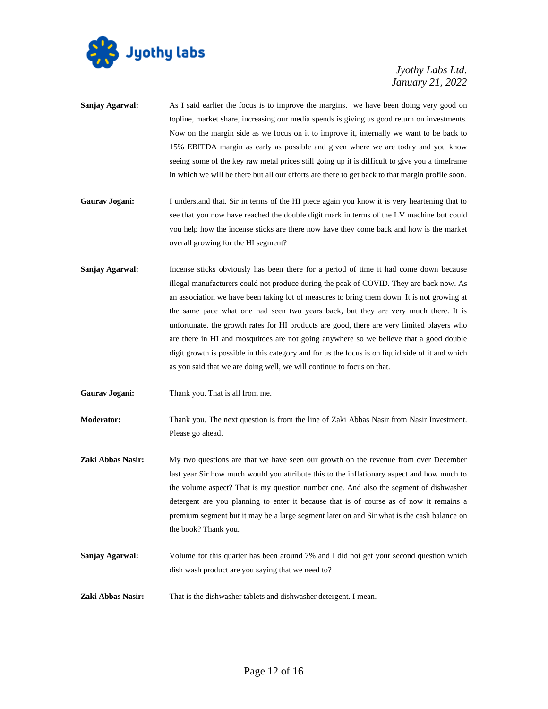

| Sanjay Agarwal:   | As I said earlier the focus is to improve the margins. we have been doing very good on<br>topline, market share, increasing our media spends is giving us good return on investments.<br>Now on the margin side as we focus on it to improve it, internally we want to be back to<br>15% EBITDA margin as early as possible and given where we are today and you know<br>seeing some of the key raw metal prices still going up it is difficult to give you a timeframe<br>in which we will be there but all our efforts are there to get back to that margin profile soon.                                                                                                                                                                  |
|-------------------|----------------------------------------------------------------------------------------------------------------------------------------------------------------------------------------------------------------------------------------------------------------------------------------------------------------------------------------------------------------------------------------------------------------------------------------------------------------------------------------------------------------------------------------------------------------------------------------------------------------------------------------------------------------------------------------------------------------------------------------------|
| Gaurav Jogani:    | I understand that. Sir in terms of the HI piece again you know it is very heartening that to<br>see that you now have reached the double digit mark in terms of the LV machine but could<br>you help how the incense sticks are there now have they come back and how is the market<br>overall growing for the HI segment?                                                                                                                                                                                                                                                                                                                                                                                                                   |
| Sanjay Agarwal:   | Incense sticks obviously has been there for a period of time it had come down because<br>illegal manufacturers could not produce during the peak of COVID. They are back now. As<br>an association we have been taking lot of measures to bring them down. It is not growing at<br>the same pace what one had seen two years back, but they are very much there. It is<br>unfortunate. the growth rates for HI products are good, there are very limited players who<br>are there in HI and mosquitoes are not going anywhere so we believe that a good double<br>digit growth is possible in this category and for us the focus is on liquid side of it and which<br>as you said that we are doing well, we will continue to focus on that. |
| Gaurav Jogani:    | Thank you. That is all from me.                                                                                                                                                                                                                                                                                                                                                                                                                                                                                                                                                                                                                                                                                                              |
| Moderator:        | Thank you. The next question is from the line of Zaki Abbas Nasir from Nasir Investment.<br>Please go ahead.                                                                                                                                                                                                                                                                                                                                                                                                                                                                                                                                                                                                                                 |
| Zaki Abbas Nasir: | My two questions are that we have seen our growth on the revenue from over December<br>last year Sir how much would you attribute this to the inflationary aspect and how much to<br>the volume aspect? That is my question number one. And also the segment of dishwasher<br>detergent are you planning to enter it because that is of course as of now it remains a<br>premium segment but it may be a large segment later on and Sir what is the cash balance on<br>the book? Thank you.                                                                                                                                                                                                                                                  |
| Sanjay Agarwal:   | Volume for this quarter has been around 7% and I did not get your second question which<br>dish wash product are you saying that we need to?                                                                                                                                                                                                                                                                                                                                                                                                                                                                                                                                                                                                 |
| Zaki Abbas Nasir: | That is the dishwasher tablets and dishwasher detergent. I mean.                                                                                                                                                                                                                                                                                                                                                                                                                                                                                                                                                                                                                                                                             |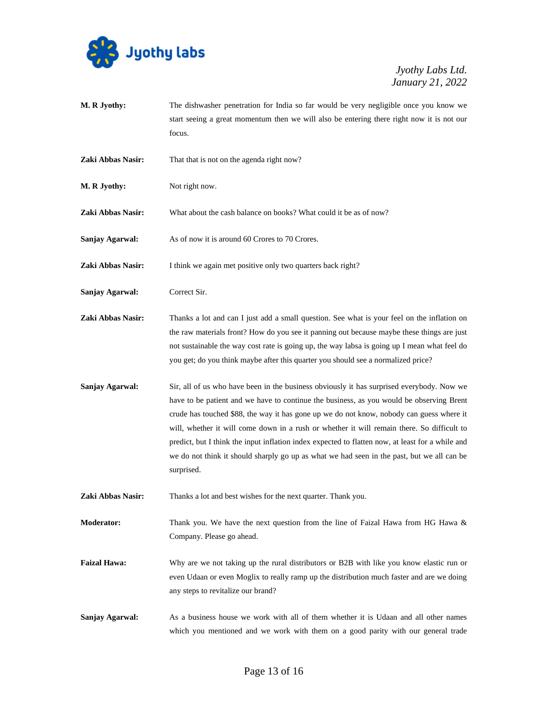

- **M. R Jyothy:** The dishwasher penetration for India so far would be very negligible once you know we start seeing a great momentum then we will also be entering there right now it is not our focus.
- **Zaki Abbas Nasir:** That that is not on the agenda right now?
- **M. R Jyothy:** Not right now.

**Zaki Abbas Nasir:** What about the cash balance on books? What could it be as of now?

**Sanjay Agarwal:** As of now it is around 60 Crores to 70 Crores.

**Zaki Abbas Nasir:** I think we again met positive only two quarters back right?

- Sanjay Agarwal: Correct Sir.
- **Zaki Abbas Nasir:** Thanks a lot and can I just add a small question. See what is your feel on the inflation on the raw materials front? How do you see it panning out because maybe these things are just not sustainable the way cost rate is going up, the way labsa is going up I mean what feel do you get; do you think maybe after this quarter you should see a normalized price?
- **Sanjay Agarwal:** Sir, all of us who have been in the business obviously it has surprised everybody. Now we have to be patient and we have to continue the business, as you would be observing Brent crude has touched \$88, the way it has gone up we do not know, nobody can guess where it will, whether it will come down in a rush or whether it will remain there. So difficult to predict, but I think the input inflation index expected to flatten now, at least for a while and we do not think it should sharply go up as what we had seen in the past, but we all can be surprised.
- Zaki Abbas Nasir: Thanks a lot and best wishes for the next quarter. Thank you.

**Moderator:** Thank you. We have the next question from the line of Faizal Hawa from HG Hawa & Company. Please go ahead.

- **Faizal Hawa:** Why are we not taking up the rural distributors or B2B with like you know elastic run or even Udaan or even Moglix to really ramp up the distribution much faster and are we doing any steps to revitalize our brand?
- **Sanjay Agarwal:** As a business house we work with all of them whether it is Udaan and all other names which you mentioned and we work with them on a good parity with our general trade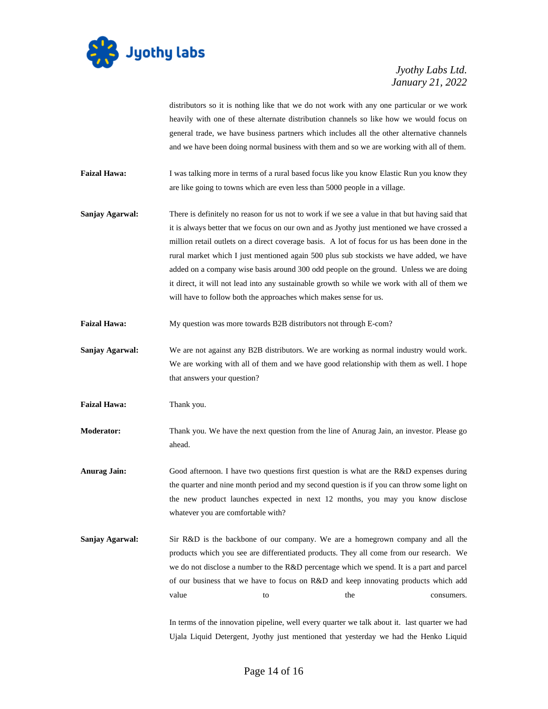

distributors so it is nothing like that we do not work with any one particular or we work heavily with one of these alternate distribution channels so like how we would focus on general trade, we have business partners which includes all the other alternative channels and we have been doing normal business with them and so we are working with all of them.

- **Faizal Hawa:** I was talking more in terms of a rural based focus like you know Elastic Run you know they are like going to towns which are even less than 5000 people in a village.
- **Sanjay Agarwal:** There is definitely no reason for us not to work if we see a value in that but having said that it is always better that we focus on our own and as Jyothy just mentioned we have crossed a million retail outlets on a direct coverage basis. A lot of focus for us has been done in the rural market which I just mentioned again 500 plus sub stockists we have added, we have added on a company wise basis around 300 odd people on the ground. Unless we are doing it direct, it will not lead into any sustainable growth so while we work with all of them we will have to follow both the approaches which makes sense for us.
- **Faizal Hawa:** My question was more towards B2B distributors not through E-com?
- **Sanjay Agarwal:** We are not against any B2B distributors. We are working as normal industry would work. We are working with all of them and we have good relationship with them as well. I hope that answers your question?
- Faizal Hawa: Thank you.
- **Moderator:** Thank you. We have the next question from the line of Anurag Jain, an investor. Please go ahead.
- **Anurag Jain:** Good afternoon. I have two questions first question is what are the R&D expenses during the quarter and nine month period and my second question is if you can throw some light on the new product launches expected in next 12 months, you may you know disclose whatever you are comfortable with?
- **Sanjay Agarwal:** Sir R&D is the backbone of our company. We are a homegrown company and all the products which you see are differentiated products. They all come from our research. We we do not disclose a number to the R&D percentage which we spend. It is a part and parcel of our business that we have to focus on R&D and keep innovating products which add value to to the consumers.

In terms of the innovation pipeline, well every quarter we talk about it. last quarter we had Ujala Liquid Detergent, Jyothy just mentioned that yesterday we had the Henko Liquid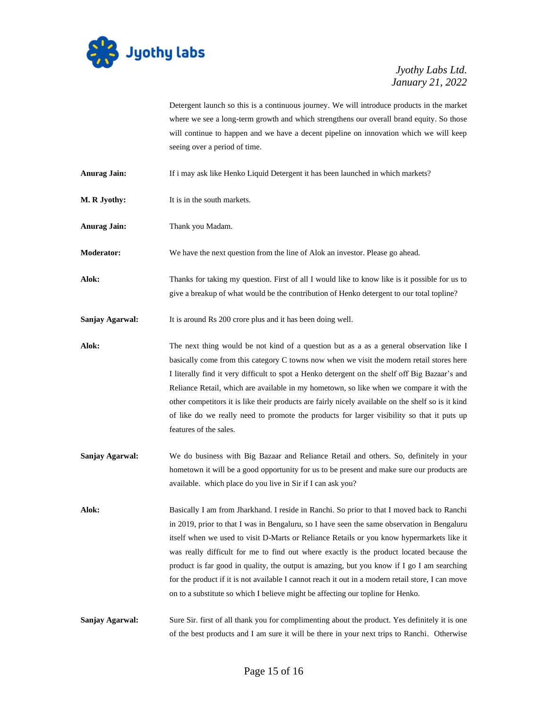

Detergent launch so this is a continuous journey. We will introduce products in the market where we see a long-term growth and which strengthens our overall brand equity. So those will continue to happen and we have a decent pipeline on innovation which we will keep seeing over a period of time.

- **Anurag Jain:** If i may ask like Henko Liquid Detergent it has been launched in which markets?
- **M. R Jyothy:** It is in the south markets.
- **Anurag Jain:** Thank you Madam.

**Moderator:** We have the next question from the line of Alok an investor. Please go ahead.

- **Alok:** Thanks for taking my question. First of all I would like to know like is it possible for us to give a breakup of what would be the contribution of Henko detergent to our total topline?
- **Sanjay Agarwal:** It is around Rs 200 crore plus and it has been doing well.

**Alok:** The next thing would be not kind of a question but as a as a general observation like I basically come from this category C towns now when we visit the modern retail stores here I literally find it very difficult to spot a Henko detergent on the shelf off Big Bazaar's and Reliance Retail, which are available in my hometown, so like when we compare it with the other competitors it is like their products are fairly nicely available on the shelf so is it kind of like do we really need to promote the products for larger visibility so that it puts up features of the sales.

**Sanjay Agarwal:** We do business with Big Bazaar and Reliance Retail and others. So, definitely in your hometown it will be a good opportunity for us to be present and make sure our products are available. which place do you live in Sir if I can ask you?

**Alok:** Basically I am from Jharkhand. I reside in Ranchi. So prior to that I moved back to Ranchi in 2019, prior to that I was in Bengaluru, so I have seen the same observation in Bengaluru itself when we used to visit D-Marts or Reliance Retails or you know hypermarkets like it was really difficult for me to find out where exactly is the product located because the product is far good in quality, the output is amazing, but you know if I go I am searching for the product if it is not available I cannot reach it out in a modern retail store, I can move on to a substitute so which I believe might be affecting our topline for Henko.

**Sanjay Agarwal:** Sure Sir. first of all thank you for complimenting about the product. Yes definitely it is one of the best products and I am sure it will be there in your next trips to Ranchi. Otherwise